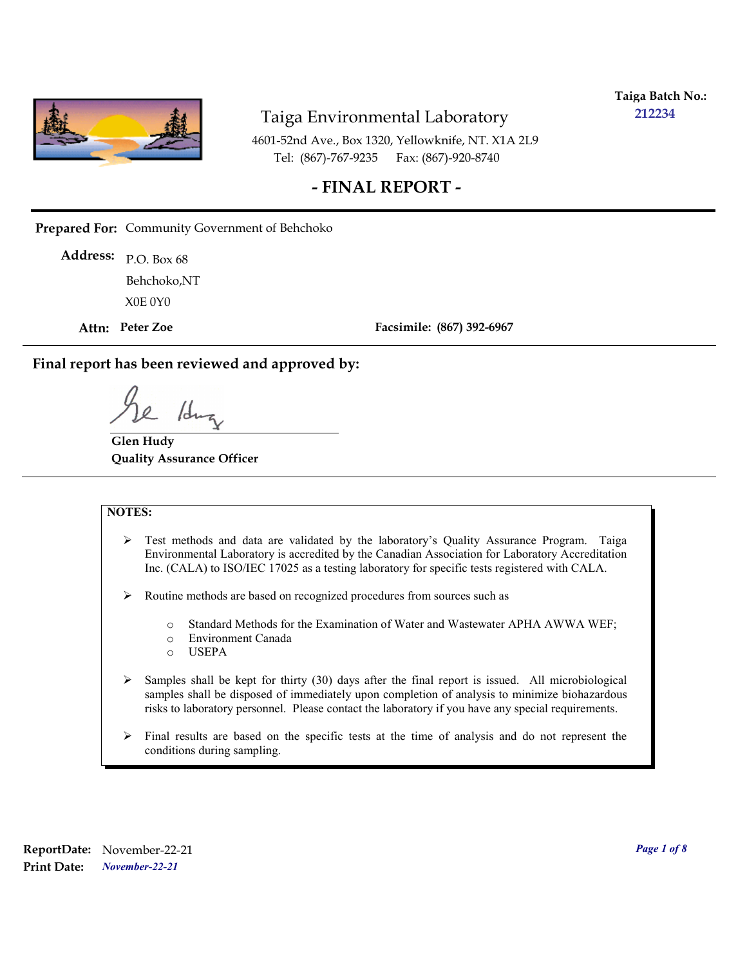

**Taiga Batch No.: 212234**

4601-52nd Ave., Box 1320, Yellowknife, NT. X1A 2L9 Tel: (867)-767-9235 Fax: (867)-920-8740

#### **- FINAL REPORT -**

**Prepared For:** Community Government of Behchoko

P.O. Box 68 **Address:** X0E 0Y0 Behchoko,NT

**Attn: Peter Zoe**

**Facsimile: (867) 392-6967**

**Final report has been reviewed and approved by:**

/dr

**Glen Hudy Quality Assurance Officer**

#### **NOTES:**

- $\triangleright$  Test methods and data are validated by the laboratory's Quality Assurance Program. Taiga Environmental Laboratory is accredited by the Canadian Association for Laboratory Accreditation Inc. (CALA) to ISO/IEC 17025 as a testing laboratory for specific tests registered with CALA.
- Routine methods are based on recognized procedures from sources such as
	- o Standard Methods for the Examination of Water and Wastewater APHA AWWA WEF;
	- o Environment Canada
	- o USEPA
- $\triangleright$  Samples shall be kept for thirty (30) days after the final report is issued. All microbiological samples shall be disposed of immediately upon completion of analysis to minimize biohazardous risks to laboratory personnel. Please contact the laboratory if you have any special requirements.
- $\triangleright$  Final results are based on the specific tests at the time of analysis and do not represent the conditions during sampling.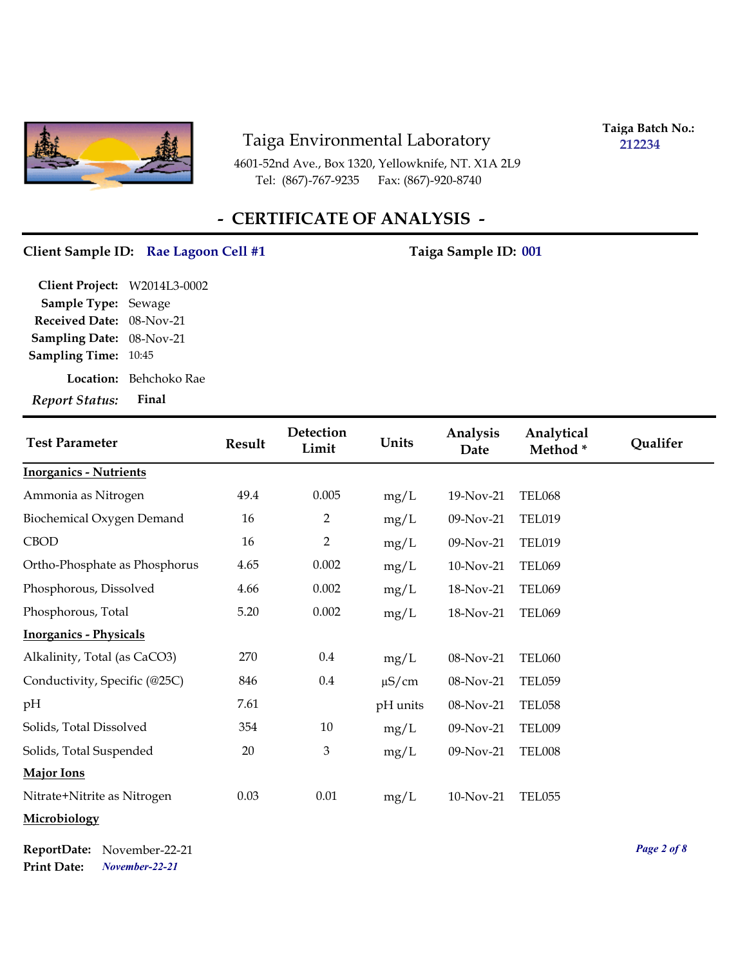

**Taiga Batch No.: 212234**

4601-52nd Ave., Box 1320, Yellowknife, NT. X1A 2L9 Tel: (867)-767-9235

## **- CERTIFICATE OF ANALYSIS -**

#### Client Sample ID: Rae Lagoon Cell #1 Taiga Sample ID: 001

| Report Status: Final         |                               |
|------------------------------|-------------------------------|
|                              | <b>Location:</b> Behchoko Rae |
| Sampling Time: 10:45         |                               |
| Sampling Date: 08-Nov-21     |                               |
| Received Date: 08-Nov-21     |                               |
| Sample Type: Sewage          |                               |
| Client Project: W2014L3-0002 |                               |

| <b>Test Parameter</b>         | <b>Result</b> | <b>Detection</b><br>Limit | Units      | Analysis<br>Date | Analytical<br>Method* | Qualifer |
|-------------------------------|---------------|---------------------------|------------|------------------|-----------------------|----------|
| <b>Inorganics - Nutrients</b> |               |                           |            |                  |                       |          |
| Ammonia as Nitrogen           | 49.4          | 0.005                     | mg/L       | 19-Nov-21        | TEL068                |          |
| Biochemical Oxygen Demand     | 16            | 2                         | mg/L       | 09-Nov-21        | <b>TEL019</b>         |          |
| <b>CBOD</b>                   | 16            | $\overline{2}$            | mg/L       | 09-Nov-21        | <b>TEL019</b>         |          |
| Ortho-Phosphate as Phosphorus | 4.65          | 0.002                     | mg/L       | 10-Nov-21        | <b>TEL069</b>         |          |
| Phosphorous, Dissolved        | 4.66          | 0.002                     | mg/L       | 18-Nov-21        | <b>TEL069</b>         |          |
| Phosphorous, Total            | 5.20          | 0.002                     | mg/L       | 18-Nov-21        | <b>TEL069</b>         |          |
| <b>Inorganics - Physicals</b> |               |                           |            |                  |                       |          |
| Alkalinity, Total (as CaCO3)  | 270           | 0.4                       | mg/L       | 08-Nov-21        | <b>TEL060</b>         |          |
| Conductivity, Specific (@25C) | 846           | 0.4                       | $\mu$ S/cm | 08-Nov-21        | <b>TEL059</b>         |          |
| pH                            | 7.61          |                           | pH units   | 08-Nov-21        | <b>TEL058</b>         |          |
| Solids, Total Dissolved       | 354           | $10\,$                    | mg/L       | 09-Nov-21        | <b>TEL009</b>         |          |
| Solids, Total Suspended       | 20            | 3                         | mg/L       | 09-Nov-21        | TEL008                |          |
| <b>Major Ions</b>             |               |                           |            |                  |                       |          |
| Nitrate+Nitrite as Nitrogen   | 0.03          | 0.01                      | mg/L       | 10-Nov-21        | <b>TEL055</b>         |          |
| Microbiology                  |               |                           |            |                  |                       |          |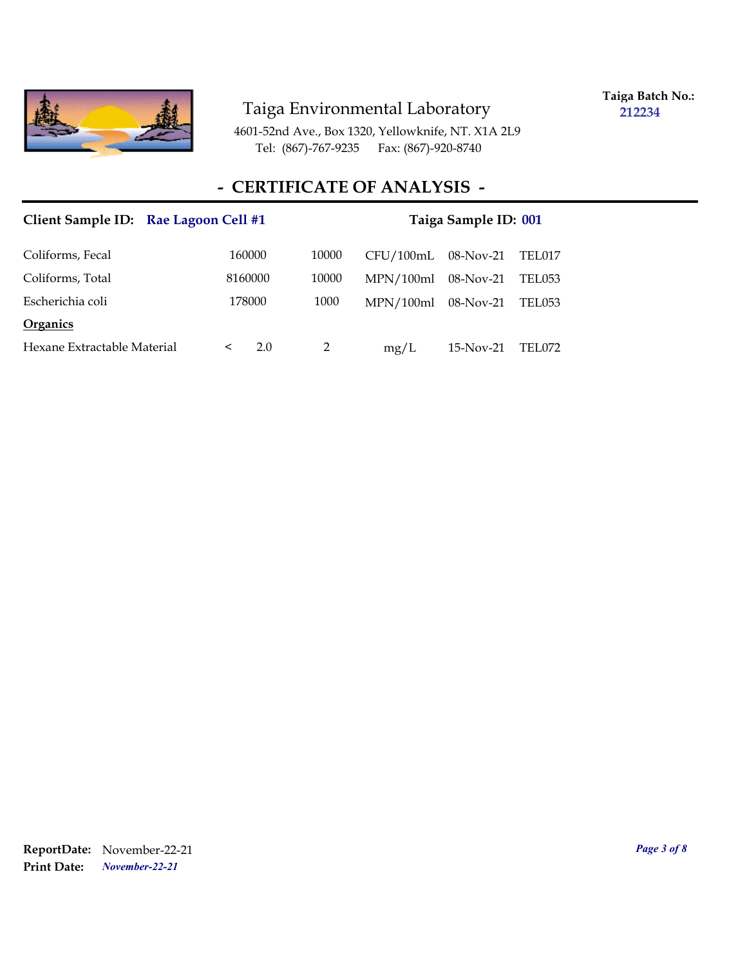

**Taiga Batch No.: 212234**

4601-52nd Ave., Box 1320, Yellowknife, NT. X1A 2L9 Tel: (867)-767-9235 Fax: (867)-920-8740

#### **- CERTIFICATE OF ANALYSIS -**

| Client Sample ID: Rae Lagoon Cell #1 |         |     |                |           | Taiga Sample ID: 001 |        |
|--------------------------------------|---------|-----|----------------|-----------|----------------------|--------|
| Coliforms, Fecal                     | 160000  |     | 10000          | CFU/100mL | $08$ -Nov-21         | TEL017 |
| Coliforms, Total                     | 8160000 |     | 10000          | MPN/100ml | 08-Nov-21            | TEL053 |
| Escherichia coli                     | 178000  |     | 1000           | MPN/100ml | $08$ -Nov-21         | TEL053 |
| <b>Organics</b>                      |         |     |                |           |                      |        |
| Hexane Extractable Material          | $\prec$ | 2.0 | $\mathfrak{D}$ | mg/L      | $15-Nov-21$          | TEL072 |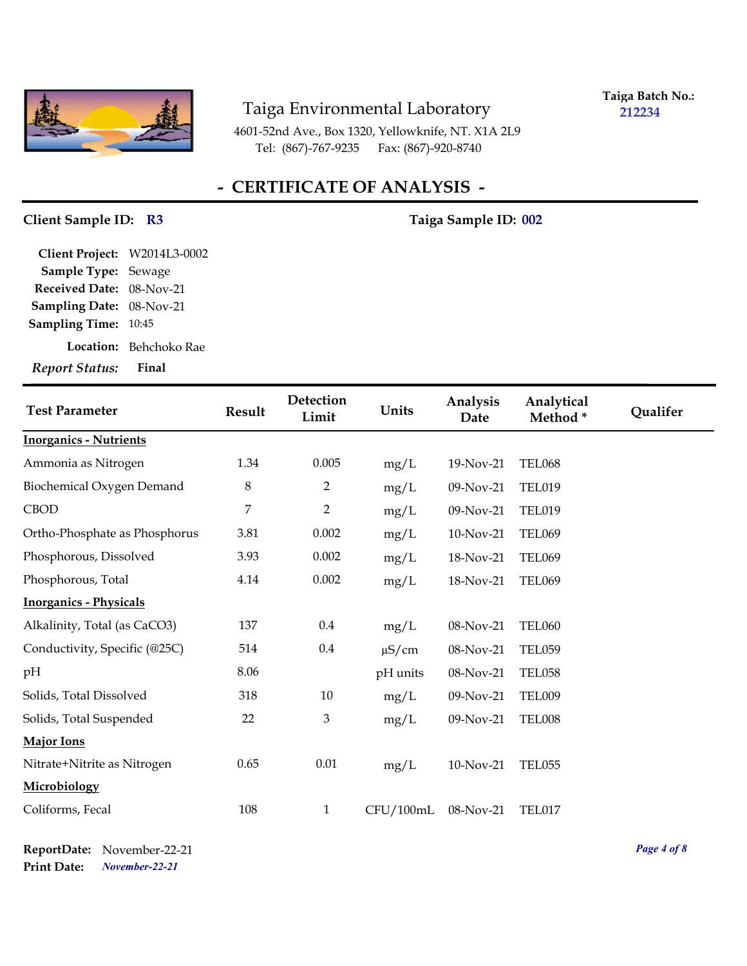

**Taiga Batch No.: 212234**

4601-52nd Ave., Box 1320, Yellowknife, NT. X1A 2L9 Tel: (867)-767-9235 Fax: (867)-920-8740

# **- CERTIFICATE OF ANALYSIS -**

#### Client Sample ID: R3 Taiga Sample ID: 002

| Client Project: W2014L3-0002 |                        |
|------------------------------|------------------------|
| Sample Type: Sewage          |                        |
| Received Date: 08-Nov-21     |                        |
| Sampling Date: 08-Nov-21     |                        |
| <b>Sampling Time: 10:45</b>  |                        |
|                              | Location: Behchoko Rae |
| <b>Report Status:</b>        | Final                  |

| <b>Test Parameter</b>         | <b>Result</b>  | Detection<br>Limit | Units      | Analysis<br>Date | Analytical<br>Method* | <b>Qualifer</b> |
|-------------------------------|----------------|--------------------|------------|------------------|-----------------------|-----------------|
| <b>Inorganics - Nutrients</b> |                |                    |            |                  |                       |                 |
| Ammonia as Nitrogen           | 1.34           | 0.005              | mg/L       | 19-Nov-21        | <b>TEL068</b>         |                 |
| Biochemical Oxygen Demand     | $\,8\,$        | $\overline{2}$     | mg/L       | 09-Nov-21        | <b>TEL019</b>         |                 |
| <b>CBOD</b>                   | $\overline{7}$ | $\overline{2}$     | mg/L       | 09-Nov-21        | <b>TEL019</b>         |                 |
| Ortho-Phosphate as Phosphorus | 3.81           | 0.002              | mg/L       | 10-Nov-21        | <b>TEL069</b>         |                 |
| Phosphorous, Dissolved        | 3.93           | 0.002              | mg/L       | 18-Nov-21        | <b>TEL069</b>         |                 |
| Phosphorous, Total            | 4.14           | 0.002              | mg/L       | 18-Nov-21        | <b>TEL069</b>         |                 |
| <b>Inorganics - Physicals</b> |                |                    |            |                  |                       |                 |
| Alkalinity, Total (as CaCO3)  | 137            | 0.4                | mg/L       | 08-Nov-21        | <b>TEL060</b>         |                 |
| Conductivity, Specific (@25C) | 514            | $0.4\,$            | $\mu$ S/cm | 08-Nov-21        | <b>TEL059</b>         |                 |
| pH                            | 8.06           |                    | pH units   | 08-Nov-21        | <b>TEL058</b>         |                 |
| Solids, Total Dissolved       | 318            | 10                 | mg/L       | 09-Nov-21        | <b>TEL009</b>         |                 |
| Solids, Total Suspended       | 22             | $\mathfrak{B}$     | mg/L       | 09-Nov-21        | TEL008                |                 |
| Major Ions                    |                |                    |            |                  |                       |                 |
| Nitrate+Nitrite as Nitrogen   | 0.65           | 0.01               | mg/L       | 10-Nov-21        | <b>TEL055</b>         |                 |
| Microbiology                  |                |                    |            |                  |                       |                 |
| Coliforms, Fecal              | 108            | $\mathbf{1}$       | CFU/100mL  | 08-Nov-21        | TEL017                |                 |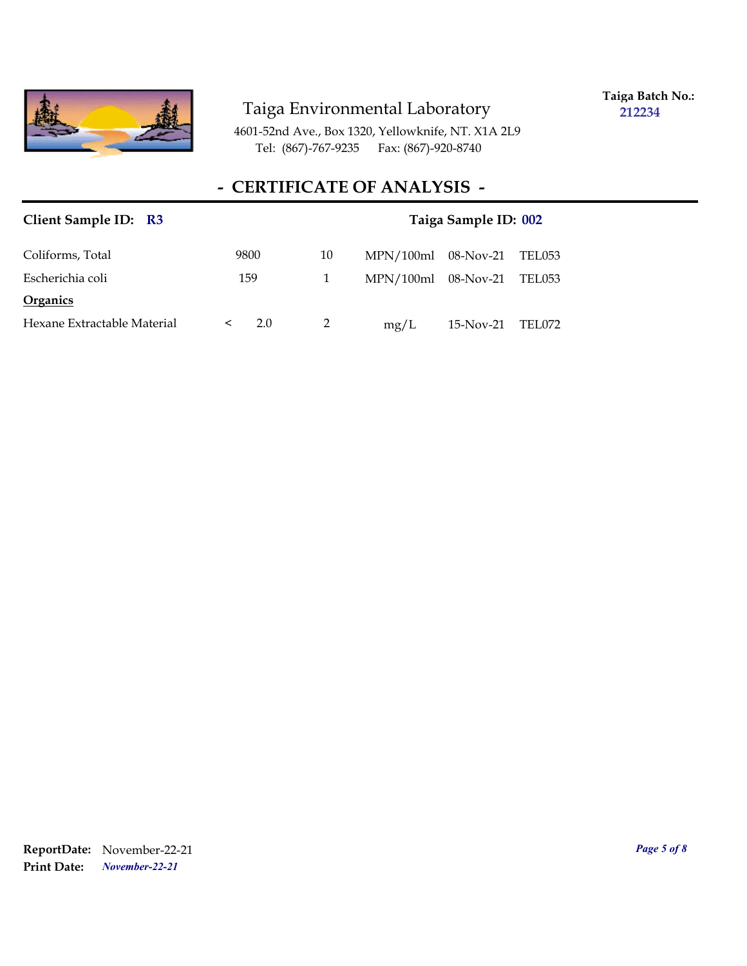

**Taiga Batch No.: 212234**

4601-52nd Ave., Box 1320, Yellowknife, NT. X1A 2L9 Tel: (867)-767-9235 Fax: (867)-920-8740

## **- CERTIFICATE OF ANALYSIS -**

| Client Sample ID: R3        |              |    |                       | Taiga Sample ID: 002 |        |
|-----------------------------|--------------|----|-----------------------|----------------------|--------|
| Coliforms, Total            | 9800         | 10 | $MPN/100ml$ 08-Nov-21 |                      | TEL053 |
| Escherichia coli            | 159          | 1  | $MPN/100ml$ 08-Nov-21 |                      | TEL053 |
| Organics                    |              |    |                       |                      |        |
| Hexane Extractable Material | 2.0<br>$\lt$ | 2  | mg/L                  | 15-Nov-21            | TEL072 |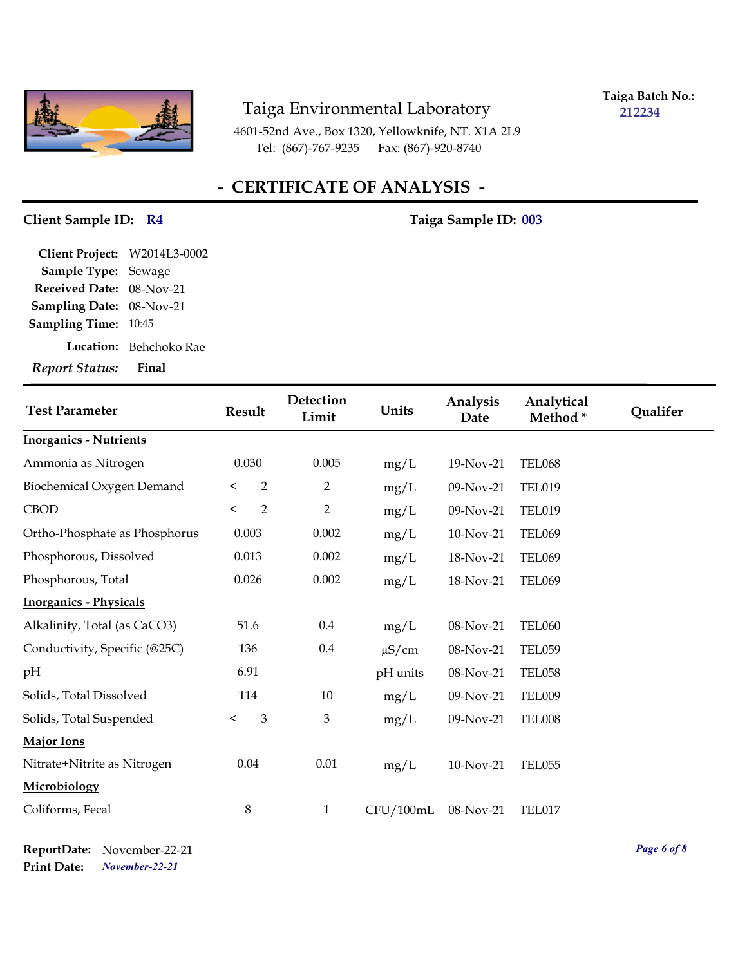

**Taiga Batch No.: 212234**

4601-52nd Ave., Box 1320, Yellowknife, NT. X1A 2L9 Tel: (867)-767-9235 Fax: (867)-920-8740

# **- CERTIFICATE OF ANALYSIS -**

#### Client Sample ID: R4 Taiga Sample ID: 003

| Client Project: W2014L3-0002 |                        |
|------------------------------|------------------------|
| Sample Type: Sewage          |                        |
| Received Date: 08-Nov-21     |                        |
| Sampling Date: 08-Nov-21     |                        |
| <b>Sampling Time: 10:45</b>  |                        |
|                              | Location: Behchoko Rae |
| <b>Report Status:</b>        | Final                  |

| <b>Test Parameter</b>         | <b>Result</b>             | Detection<br>Limit | Units      | Analysis<br>Date | Analytical<br>Method* | Qualifer |
|-------------------------------|---------------------------|--------------------|------------|------------------|-----------------------|----------|
| <b>Inorganics - Nutrients</b> |                           |                    |            |                  |                       |          |
| Ammonia as Nitrogen           | 0.030                     | 0.005              | mg/L       | 19-Nov-21        | <b>TEL068</b>         |          |
| Biochemical Oxygen Demand     | $\overline{2}$<br>$\,<\,$ | 2                  | mg/L       | 09-Nov-21        | <b>TEL019</b>         |          |
| <b>CBOD</b>                   | $\overline{2}$<br>$\,<$   | $\overline{2}$     | mg/L       | 09-Nov-21        | <b>TEL019</b>         |          |
| Ortho-Phosphate as Phosphorus | 0.003                     | 0.002              | mg/L       | 10-Nov-21        | <b>TEL069</b>         |          |
| Phosphorous, Dissolved        | 0.013                     | 0.002              | mg/L       | 18-Nov-21        | <b>TEL069</b>         |          |
| Phosphorous, Total            | 0.026                     | 0.002              | mg/L       | 18-Nov-21        | <b>TEL069</b>         |          |
| <b>Inorganics - Physicals</b> |                           |                    |            |                  |                       |          |
| Alkalinity, Total (as CaCO3)  | 51.6                      | 0.4                | mg/L       | 08-Nov-21        | <b>TEL060</b>         |          |
| Conductivity, Specific (@25C) | 136                       | $0.4\,$            | $\mu$ S/cm | 08-Nov-21        | <b>TEL059</b>         |          |
| pH                            | 6.91                      |                    | pH units   | 08-Nov-21        | <b>TEL058</b>         |          |
| Solids, Total Dissolved       | 114                       | 10                 | mg/L       | 09-Nov-21        | TEL009                |          |
| Solids, Total Suspended       | $\mathfrak{Z}$<br>$\,<\,$ | $\mathfrak{B}$     | mg/L       | 09-Nov-21        | TEL008                |          |
| Major Ions                    |                           |                    |            |                  |                       |          |
| Nitrate+Nitrite as Nitrogen   | 0.04                      | 0.01               | mg/L       | 10-Nov-21        | TEL055                |          |
| Microbiology                  |                           |                    |            |                  |                       |          |
| Coliforms, Fecal              | $\,8\,$                   | $\mathbf{1}$       | CFU/100mL  | 08-Nov-21        | TEL017                |          |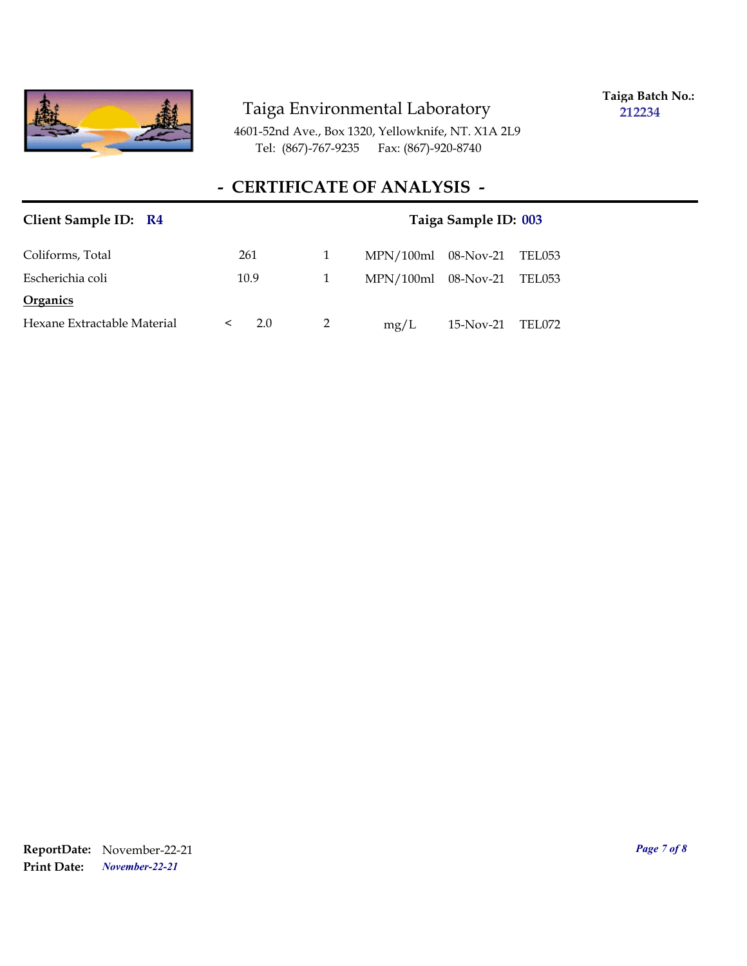

**Taiga Batch No.: 212234**

4601-52nd Ave., Box 1320, Yellowknife, NT. X1A 2L9 Tel: (867)-767-9235 Fax: (867)-920-8740

## **- CERTIFICATE OF ANALYSIS -**

| Client Sample ID: R4        | Taiga Sample ID: 003 |   |                                 |  |
|-----------------------------|----------------------|---|---------------------------------|--|
| Coliforms, Total            | 261                  | 1 | $MPN/100ml$ 08-Nov-21<br>TEL053 |  |
| Escherichia coli            | 10.9                 | 1 | $MPN/100ml$ 08-Nov-21<br>TEL053 |  |
| <b>Organics</b>             |                      |   |                                 |  |
| Hexane Extractable Material | 2.0<br>$\lt$         |   | mg/L<br>15-Nov-21<br>TEL072     |  |